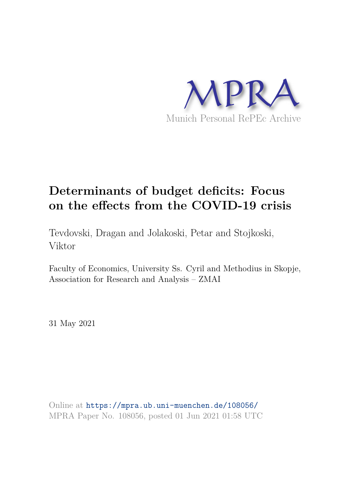

# **Determinants of budget deficits: Focus on the effects from the COVID-19 crisis**

Tevdovski, Dragan and Jolakoski, Petar and Stojkoski, Viktor

Faculty of Economics, University Ss. Cyril and Methodius in Skopje, Association for Research and Analysis – ZMAI

31 May 2021

Online at https://mpra.ub.uni-muenchen.de/108056/ MPRA Paper No. 108056, posted 01 Jun 2021 01:58 UTC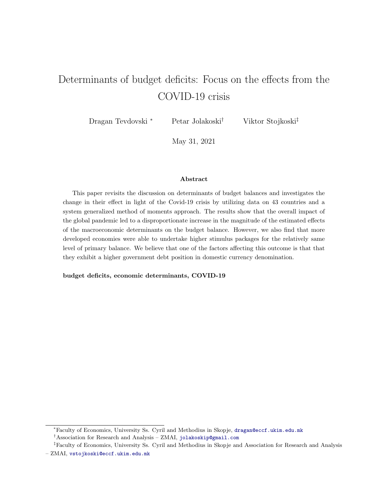## Determinants of budget deficits: Focus on the effects from the COVID-19 crisis

Dragan Tevdovski <sup>∗</sup> Petar Jolakoski† Viktor Stojkoski‡

May 31, 2021

### Abstract

This paper revisits the discussion on determinants of budget balances and investigates the change in their effect in light of the Covid-19 crisis by utilizing data on 43 countries and a system generalized method of moments approach. The results show that the overall impact of the global pandemic led to a disproportionate increase in the magnitude of the estimated effects of the macroeconomic determinants on the budget balance. However, we also find that more developed economies were able to undertake higher stimulus packages for the relatively same level of primary balance. We believe that one of the factors affecting this outcome is that that they exhibit a higher government debt position in domestic currency denomination.

budget deficits, economic determinants, COVID-19

<sup>∗</sup>Faculty of Economics, University Ss. Cyril and Methodius in Skopje, dragan@eccf.ukim.edu.mk

<sup>&</sup>lt;sup>†</sup>Association for Research and Analysis – ZMAI, jolakoskip@gmail.com

<sup>‡</sup>Faculty of Economics, University Ss. Cyril and Methodius in Skopje and Association for Research and Analysis

<sup>–</sup> ZMAI, vstojkoski@eccf.ukim.edu.mk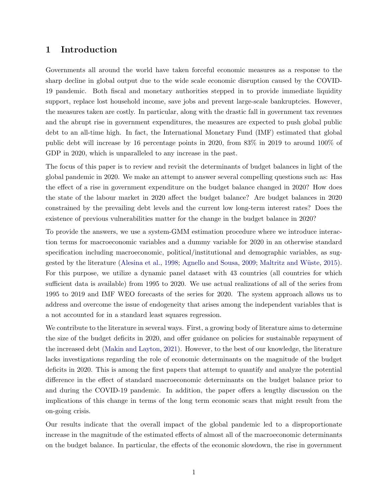## 1 Introduction

Governments all around the world have taken forceful economic measures as a response to the sharp decline in global output due to the wide scale economic disruption caused by the COVID-19 pandemic. Both fiscal and monetary authorities stepped in to provide immediate liquidity support, replace lost household income, save jobs and prevent large-scale bankruptcies. However, the measures taken are costly. In particular, along with the drastic fall in government tax revenues and the abrupt rise in government expenditures, the measures are expected to push global public debt to an all-time high. In fact, the International Monetary Fund (IMF) estimated that global public debt will increase by 16 percentage points in 2020, from 83% in 2019 to around 100% of GDP in 2020, which is unparalleled to any increase in the past.

The focus of this paper is to review and revisit the determinants of budget balances in light of the global pandemic in 2020. We make an attempt to answer several compelling questions such as: Has the effect of a rise in government expenditure on the budget balance changed in 2020? How does the state of the labour market in 2020 affect the budget balance? Are budget balances in 2020 constrained by the prevailing debt levels and the current low long-term interest rates? Does the existence of previous vulnerabilities matter for the change in the budget balance in 2020?

To provide the answers, we use a system-GMM estimation procedure where we introduce interaction terms for macroeconomic variables and a dummy variable for 2020 in an otherwise standard specification including macroeconomic, political/institutional and demographic variables, as suggested by the literature (Alesina et al., 1998; Agnello and Sousa, 2009; Maltritz and Wüste, 2015). For this purpose, we utilize a dynamic panel dataset with 43 countries (all countries for which sufficient data is available) from 1995 to 2020. We use actual realizations of all of the series from 1995 to 2019 and IMF WEO forecasts of the series for 2020. The system approach allows us to address and overcome the issue of endogeneity that arises among the independent variables that is a not accounted for in a standard least squares regression.

We contribute to the literature in several ways. First, a growing body of literature aims to determine the size of the budget deficits in 2020, and offer guidance on policies for sustainable repayment of the increased debt (Makin and Layton, 2021). However, to the best of our knowledge, the literature lacks investigations regarding the role of economic determinants on the magnitude of the budget deficits in 2020. This is among the first papers that attempt to quantify and analyze the potential difference in the effect of standard macroeconomic determinants on the budget balance prior to and during the COVID-19 pandemic. In addition, the paper offers a lengthy discussion on the implications of this change in terms of the long term economic scars that might result from the on-going crisis.

Our results indicate that the overall impact of the global pandemic led to a disproportionate increase in the magnitude of the estimated effects of almost all of the macroeconomic determinants on the budget balance. In particular, the effects of the economic slowdown, the rise in government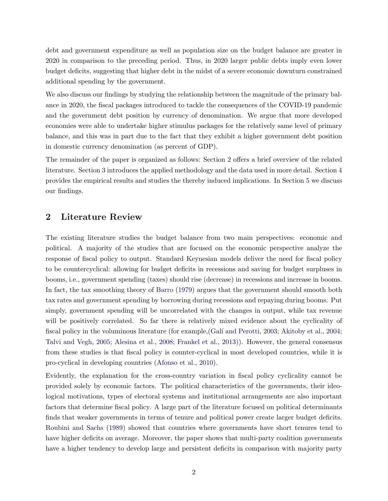debt and government expenditure as well as population size on the budget balance are greater in 2020 in comparison to the preceding period. Thus, in 2020 larger public debts imply even lower budget deficits, suggesting that higher debt in the midst of a severe economic downturn constrained additional spending by the government.

We also discuss our findings by studying the relationship between the magnitude of the primary balance in 2020, the fiscal packages introduced to tackle the consequences of the COVID-19 pandemic and the government debt position by currency of denomination. We argue that more developed economies were able to undertake higher stimulus packages for the relatively same level of primary balance, and this was in part due to the fact that they exhibit a higher government debt position in domestic currency denomination (as percent of GDP).

The remainder of the paper is organized as follows: Section 2 offers a brief overview of the related literature. Section 3 introduces the applied methodology and the data used in more detail. Section 4 provides the empirical results and studies the thereby induced implications. In Section 5 we discuss our findings.

## 2 Literature Review

The existing literature studies the budget balance from two main perspectives: economic and political. A majority of the studies that are focused on the economic perspective analyze the response of fiscal policy to output. Standard Keynesian models deliver the need for fiscal policy to be countercyclical: allowing for budget deficits in recessions and saving for budget surpluses in booms, i.e., government spending (taxes) should rise (decrease) in recessions and increase in booms. In fact, the tax smoothing theory of Barro (1979) argues that the government should smooth both tax rates and government spending by borrowing during recessions and repaying during booms. Put simply, government spending will be uncorrelated with the changes in output, while tax revenue will be positively correlated. So far there is relatively mixed evidence about the cyclicality of fiscal policy in the voluminous literature (for example, Galí and Perotti, 2003; Akitoby et al., 2004; Talvi and Vegh, 2005; Alesina et al., 2008; Frankel et al., 2013)). However, the general consensus from these studies is that fiscal policy is counter-cyclical in most developed countries, while it is pro-cyclical in developing countries (Afonso et al., 2010).

Evidently, the explanation for the cross-country variation in fiscal policy cyclicality cannot be provided solely by economic factors. The political characteristics of the governments, their ideological motivations, types of electoral systems and institutional arrangements are also important factors that determine fiscal policy. A large part of the literature focused on political determinants finds that weaker governments in terms of tenure and political power create larger budget deficits. Roubini and Sachs (1989) showed that countries where governments have short tenures tend to have higher deficits on average. Moreover, the paper shows that multi-party coalition governments have a higher tendency to develop large and persistent deficits in comparison with majority party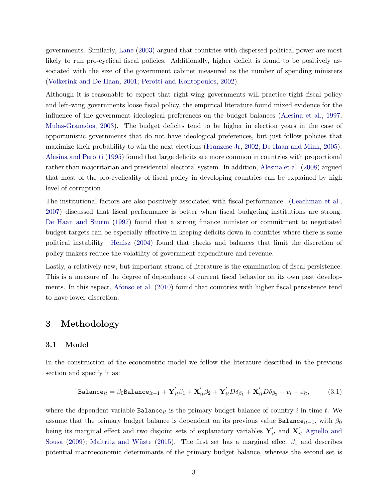governments. Similarly, Lane (2003) argued that countries with dispersed political power are most likely to run pro-cyclical fiscal policies. Additionally, higher deficit is found to be positively associated with the size of the government cabinet measured as the number of spending ministers (Volkerink and De Haan, 2001; Perotti and Kontopoulos, 2002).

Although it is reasonable to expect that right-wing governments will practice tight fiscal policy and left-wing governments loose fiscal policy, the empirical literature found mixed evidence for the influence of the government ideological preferences on the budget balances (Alesina et al., 1997; Mulas-Granados, 2003). The budget deficits tend to be higher in election years in the case of opportunistic governments that do not have ideological preferences, but just follow policies that maximize their probability to win the next elections (Franzese Jr, 2002; De Haan and Mink, 2005). Alesina and Perotti (1995) found that large deficits are more common in countries with proportional rather than majoritarian and presidential electoral system. In addition, Alesina et al. (2008) argued that most of the pro-cyclicality of fiscal policy in developing countries can be explained by high level of corruption.

The institutional factors are also positively associated with fiscal performance. (Leachman et al., 2007) discussed that fiscal performance is better when fiscal budgeting institutions are strong. De Haan and Sturm (1997) found that a strong finance minister or commitment to negotiated budget targets can be especially effective in keeping deficits down in countries where there is some political instability. Henisz (2004) found that checks and balances that limit the discretion of policy-makers reduce the volatility of government expenditure and revenue.

Lastly, a relatively new, but important strand of literature is the examination of fiscal persistence. This is a measure of the degree of dependence of current fiscal behavior on its own past developments. In this aspect, Afonso et al. (2010) found that countries with higher fiscal persistence tend to have lower discretion.

## 3 Methodology

#### 3.1 Model

In the construction of the econometric model we follow the literature described in the previous section and specify it as:

$$
\mathtt{Balance}_{it} = \beta_0 \mathtt{Balance}_{it-1} + \mathbf{Y}_{it}'\beta_1 + \mathbf{X}_{it}'\beta_2 + \mathbf{Y}_{it}'D\delta_{\beta_1} + \mathbf{X}_{it}'D\delta_{\beta_2} + v_i + \varepsilon_{it},\tag{3.1}
$$

where the dependent variable  $Balance_{it}$  is the primary budget balance of country i in time t. We assume that the primary budget balance is dependent on its previous value Balance<sub>it−1</sub>, with  $\beta_0$ being its marginal effect and two disjoint sets of explanatory variables  $\mathbf{Y}'_{it}$  and  $\mathbf{X}'_{it}$  Agnello and Sousa (2009); Maltritz and Wüste (2015). The first set has a marginal effect  $\beta_1$  and describes potential macroeconomic determinants of the primary budget balance, whereas the second set is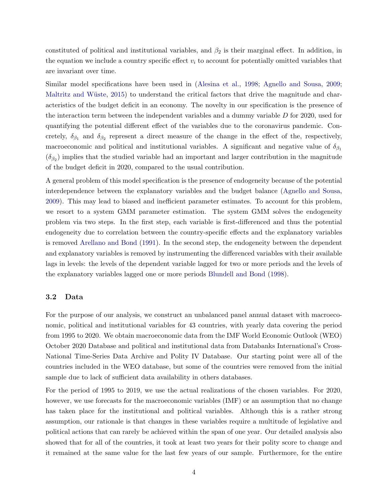constituted of political and institutional variables, and  $\beta_2$  is their marginal effect. In addition, in the equation we include a country specific effect  $v_i$  to account for potentially omitted variables that are invariant over time.

Similar model specifications have been used in (Alesina et al., 1998; Agnello and Sousa, 2009; Maltritz and Wüste,  $2015$ ) to understand the critical factors that drive the magnitude and characteristics of the budget deficit in an economy. The novelty in our specification is the presence of the interaction term between the independent variables and a dummy variable  $D$  for 2020, used for quantifying the potential different effect of the variables due to the coronavirus pandemic. Concretely,  $\delta_{\beta_1}$  and  $\delta_{\beta_2}$  represent a direct measure of the change in the effect of the, respectively, macroeconomic and political and institutional variables. A significant and negative value of  $\delta_{\beta_1}$  $(\delta_{\beta_2})$  implies that the studied variable had an important and larger contribution in the magnitude of the budget deficit in 2020, compared to the usual contribution.

A general problem of this model specification is the presence of endogeneity because of the potential interdependence between the explanatory variables and the budget balance (Agnello and Sousa, 2009). This may lead to biased and inefficient parameter estimates. To account for this problem, we resort to a system GMM parameter estimation. The system GMM solves the endogeneity problem via two steps. In the first step, each variable is first-differenced and thus the potential endogeneity due to correlation between the country-specific effects and the explanatory variables is removed Arellano and Bond (1991). In the second step, the endogeneity between the dependent and explanatory variables is removed by instrumenting the differenced variables with their available lags in levels: the levels of the dependent variable lagged for two or more periods and the levels of the explanatory variables lagged one or more periods Blundell and Bond (1998).

#### 3.2 Data

For the purpose of our analysis, we construct an unbalanced panel annual dataset with macroeconomic, political and institutional variables for 43 countries, with yearly data covering the period from 1995 to 2020. We obtain macroeconomic data from the IMF World Economic Outlook (WEO) October 2020 Database and political and institutional data from Databanks International's Cross-National Time-Series Data Archive and Polity IV Database. Our starting point were all of the countries included in the WEO database, but some of the countries were removed from the initial sample due to lack of sufficient data availability in others databases.

For the period of 1995 to 2019, we use the actual realizations of the chosen variables. For 2020, however, we use forecasts for the macroeconomic variables (IMF) or an assumption that no change has taken place for the institutional and political variables. Although this is a rather strong assumption, our rationale is that changes in these variables require a multitude of legislative and political actions that can rarely be achieved within the span of one year. Our detailed analysis also showed that for all of the countries, it took at least two years for their polity score to change and it remained at the same value for the last few years of our sample. Furthermore, for the entire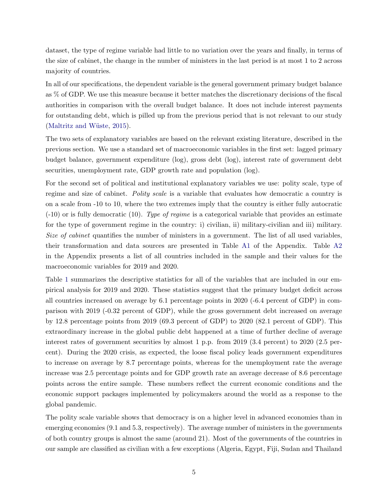dataset, the type of regime variable had little to no variation over the years and finally, in terms of the size of cabinet, the change in the number of ministers in the last period is at most 1 to 2 across majority of countries.

In all of our specifications, the dependent variable is the general government primary budget balance as % of GDP. We use this measure because it better matches the discretionary decisions of the fiscal authorities in comparison with the overall budget balance. It does not include interest payments for outstanding debt, which is pilled up from the previous period that is not relevant to our study  $(Maltritz and Wüste, 2015).$ 

The two sets of explanatory variables are based on the relevant existing literature, described in the previous section. We use a standard set of macroeconomic variables in the first set: lagged primary budget balance, government expenditure (log), gross debt (log), interest rate of government debt securities, unemployment rate, GDP growth rate and population (log).

For the second set of political and institutional explanatory variables we use: polity scale, type of regime and size of cabinet. Polity scale is a variable that evaluates how democratic a country is on a scale from -10 to 10, where the two extremes imply that the country is either fully autocratic  $(-10)$  or is fully democratic (10). Type of regime is a categorical variable that provides an estimate for the type of government regime in the country: i) civilian, ii) military-civilian and iii) military. Size of cabinet quantifies the number of ministers in a government. The list of all used variables, their transformation and data sources are presented in Table A1 of the Appendix. Table A2 in the Appendix presents a list of all countries included in the sample and their values for the macroeconomic variables for 2019 and 2020.

Table 1 summarizes the descriptive statistics for all of the variables that are included in our empirical analysis for 2019 and 2020. These statistics suggest that the primary budget deficit across all countries increased on average by 6.1 percentage points in 2020 (-6.4 percent of GDP) in comparison with 2019 (-0.32 percent of GDP), while the gross government debt increased on average by 12.8 percentage points from 2019 (69.3 percent of GDP) to 2020 (82.1 percent of GDP). This extraordinary increase in the global public debt happened at a time of further decline of average interest rates of government securities by almost 1 p.p. from 2019 (3.4 percent) to 2020 (2.5 percent). During the 2020 crisis, as expected, the loose fiscal policy leads government expenditures to increase on average by 8.7 percentage points, whereas for the unemployment rate the average increase was 2.5 percentage points and for GDP growth rate an average decrease of 8.6 percentage points across the entire sample. These numbers reflect the current economic conditions and the economic support packages implemented by policymakers around the world as a response to the global pandemic.

The polity scale variable shows that democracy is on a higher level in advanced economies than in emerging economies (9.1 and 5.3, respectively). The average number of ministers in the governments of both country groups is almost the same (around 21). Most of the governments of the countries in our sample are classified as civilian with a few exceptions (Algeria, Egypt, Fiji, Sudan and Thailand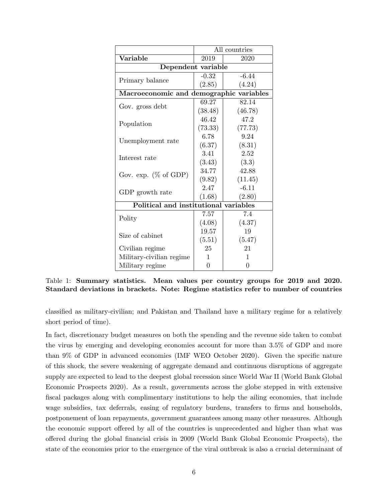|                                         | All countries |         |  |  |
|-----------------------------------------|---------------|---------|--|--|
| Variable<br>2019                        |               | 2020    |  |  |
| Dependent variable                      |               |         |  |  |
| Primary balance                         | $-0.32$       | $-6.44$ |  |  |
|                                         | (2.85)        | (4.24)  |  |  |
| Macroeconomic and demographic variables |               |         |  |  |
|                                         | 69.27         | 82.14   |  |  |
| Gov. gross debt                         | (38.48)       | (46.78) |  |  |
|                                         | 46.42         | 47.2    |  |  |
| Population                              | (73.33)       | (77.73) |  |  |
|                                         | 6.78          | 9.24    |  |  |
| Unemployment rate                       | (6.37)        | (8.31)  |  |  |
|                                         | 3.41          | 2.52    |  |  |
| Interest rate                           | (3.43)        | (3.3)   |  |  |
|                                         | 34.77         | 42.88   |  |  |
| Gov. exp. $(\% \text{ of GDP})$         | (9.82)        | (11.45) |  |  |
|                                         | 2.47          | $-6.11$ |  |  |
| GDP growth rate                         | (1.68)        | (2.80)  |  |  |
| Political and institutional variables   |               |         |  |  |
| Polity                                  | 7.57          | 7.4     |  |  |
|                                         | (4.08)        | (4.37)  |  |  |
| Size of cabinet                         | 19.57         | 19      |  |  |
|                                         | (5.51)        | (5.47)  |  |  |
| Civilian regime                         | 25            | 21      |  |  |
| Military-civilian regime                | 1             | 1       |  |  |
| Military regime                         | 0             | 0       |  |  |

Table 1: Summary statistics. Mean values per country groups for 2019 and 2020. Standard deviations in brackets. Note: Regime statistics refer to number of countries

classified as military-civilian; and Pakistan and Thailand have a military regime for a relatively short period of time).

In fact, discretionary budget measures on both the spending and the revenue side taken to combat the virus by emerging and developing economies account for more than 3.5% of GDP and more than 9% of GDP in advanced economies (IMF WEO October 2020). Given the specific nature of this shock, the severe weakening of aggregate demand and continuous disruptions of aggregate supply are expected to lead to the deepest global recession since World War II (World Bank Global Economic Prospects 2020). As a result, governments across the globe stepped in with extensive fiscal packages along with complimentary institutions to help the ailing economies, that include wage subsidies, tax deferrals, easing of regulatory burdens, transfers to firms and households, postponement of loan repayments, government guarantees among many other measures. Although the economic support offered by all of the countries is unprecedented and higher than what was offered during the global financial crisis in 2009 (World Bank Global Economic Prospects), the state of the economies prior to the emergence of the viral outbreak is also a crucial determinant of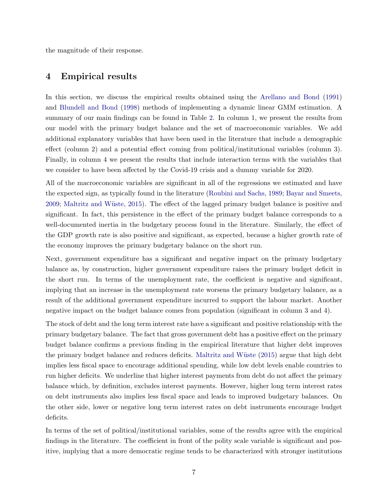the magnitude of their response.

## 4 Empirical results

In this section, we discuss the empirical results obtained using the Arellano and Bond (1991) and Blundell and Bond (1998) methods of implementing a dynamic linear GMM estimation. A summary of our main findings can be found in Table 2. In column 1, we present the results from our model with the primary budget balance and the set of macroeconomic variables. We add additional explanatory variables that have been used in the literature that include a demographic effect (column 2) and a potential effect coming from political/institutional variables (column 3). Finally, in column 4 we present the results that include interaction terms with the variables that we consider to have been affected by the Covid-19 crisis and a dummy variable for 2020.

All of the macroeconomic variables are significant in all of the regressions we estimated and have the expected sign, as typically found in the literature (Roubini and Sachs, 1989; Bayar and Smeets, 2009; Maltritz and Wüste, 2015). The effect of the lagged primary budget balance is positive and significant. In fact, this persistence in the effect of the primary budget balance corresponds to a well-documented inertia in the budgetary process found in the literature. Similarly, the effect of the GDP growth rate is also positive and significant, as expected, because a higher growth rate of the economy improves the primary budgetary balance on the short run.

Next, government expenditure has a significant and negative impact on the primary budgetary balance as, by construction, higher government expenditure raises the primary budget deficit in the short run. In terms of the unemployment rate, the coefficient is negative and significant, implying that an increase in the unemployment rate worsens the primary budgetary balance, as a result of the additional government expenditure incurred to support the labour market. Another negative impact on the budget balance comes from population (significant in column 3 and 4).

The stock of debt and the long term interest rate have a significant and positive relationship with the primary budgetary balance. The fact that gross government debt has a positive effect on the primary budget balance confirms a previous finding in the empirical literature that higher debt improves the primary budget balance and reduces deficits. Maltritz and Wüste (2015) argue that high debt implies less fiscal space to encourage additional spending, while low debt levels enable countries to run higher deficits. We underline that higher interest payments from debt do not affect the primary balance which, by definition, excludes interest payments. However, higher long term interest rates on debt instruments also implies less fiscal space and leads to improved budgetary balances. On the other side, lower or negative long term interest rates on debt instruments encourage budget deficits.

In terms of the set of political/institutional variables, some of the results agree with the empirical findings in the literature. The coefficient in front of the polity scale variable is significant and positive, implying that a more democratic regime tends to be characterized with stronger institutions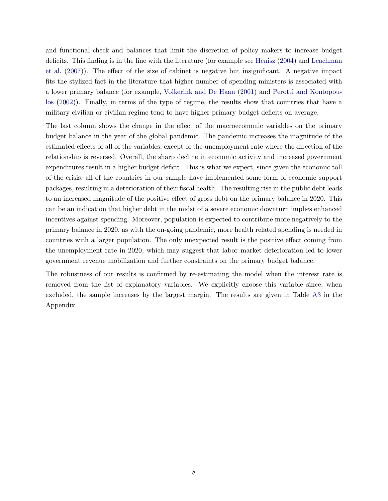and functional check and balances that limit the discretion of policy makers to increase budget deficits. This finding is in the line with the literature (for example see Henisz (2004) and Leachman et al. (2007)). The effect of the size of cabinet is negative but insignificant. A negative impact fits the stylized fact in the literature that higher number of spending ministers is associated with a lower primary balance (for example, Volkerink and De Haan (2001) and Perotti and Kontopoulos (2002)). Finally, in terms of the type of regime, the results show that countries that have a military-civilian or civilian regime tend to have higher primary budget deficits on average.

The last column shows the change in the effect of the macroeconomic variables on the primary budget balance in the year of the global pandemic. The pandemic increases the magnitude of the estimated effects of all of the variables, except of the unemployment rate where the direction of the relationship is reversed. Overall, the sharp decline in economic activity and increased government expenditures result in a higher budget deficit. This is what we expect, since given the economic toll of the crisis, all of the countries in our sample have implemented some form of economic support packages, resulting in a deterioration of their fiscal health. The resulting rise in the public debt leads to an increased magnitude of the positive effect of gross debt on the primary balance in 2020. This can be an indication that higher debt in the midst of a severe economic downturn implies enhanced incentives against spending. Moreover, population is expected to contribute more negatively to the primary balance in 2020, as with the on-going pandemic, more health related spending is needed in countries with a larger population. The only unexpected result is the positive effect coming from the unemployment rate in 2020, which may suggest that labor market deterioration led to lower government revenue mobilization and further constraints on the primary budget balance.

The robustness of our results is confirmed by re-estimating the model when the interest rate is removed from the list of explanatory variables. We explicitly choose this variable since, when excluded, the sample increases by the largest margin. The results are given in Table A3 in the Appendix.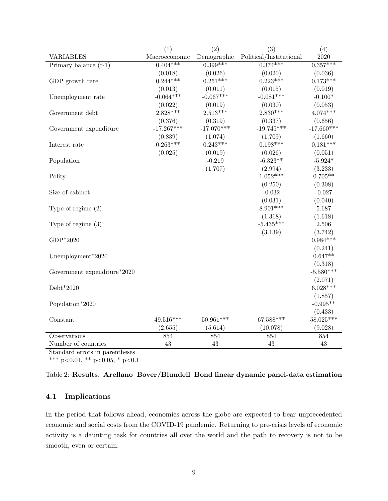|                             | (1)           | (2)          | (3)                     | (4)          |
|-----------------------------|---------------|--------------|-------------------------|--------------|
| <b>VARIABLES</b>            | Macroeconomic | Demographic  | Political/Institutional | 2020         |
| Primary balance $(t-1)$     | $0.404***$    | $0.399***$   | $0.374***$              | $0.357***$   |
|                             | (0.018)       | (0.026)      | (0.020)                 | (0.036)      |
| GDP growth rate             | $0.244***$    | $0.251***$   | $0.223***$              | $0.173***$   |
|                             | (0.013)       | (0.011)      | (0.015)                 | (0.019)      |
| Unemployment rate           | $-0.064***$   | $-0.067***$  | $-0.081***$             | $-0.100*$    |
|                             | (0.022)       | (0.019)      | (0.030)                 | (0.053)      |
| Government debt             | $2.828***$    | $2.513***$   | $2.830***$              | $4.074***$   |
|                             | (0.376)       | (0.319)      | (0.337)                 | (0.656)      |
| Government expenditure      | $-17.267***$  | $-17.070***$ | $-19.745***$            | $-17.660***$ |
|                             | (0.839)       | (1.074)      | (1.709)                 | (1.660)      |
| Interest rate               | $0.263***$    | $0.243***$   | $0.198***$              | $0.181***$   |
|                             | (0.025)       | (0.019)      | (0.026)                 | (0.051)      |
| Population                  |               | $-0.219$     | $-6.323**$              | $-5.924*$    |
|                             |               | (1.707)      | (2.994)                 | (3.233)      |
| Polity                      |               |              | $1.052***$              | $0.705**$    |
|                             |               |              | (0.250)                 | (0.308)      |
| Size of cabinet             |               |              | $-0.032$                | $-0.027$     |
|                             |               |              | (0.031)                 | (0.040)      |
| Type of regime $(2)$        |               |              | $8.901***$              | 5.687        |
|                             |               |              | (1.318)                 | (1.618)      |
| Type of regime $(3)$        |               |              | $-5.435***$             | 2.506        |
|                             |               |              | (3.139)                 | (3.742)      |
| GDP*2020                    |               |              |                         | $0.984***$   |
|                             |               |              |                         | (0.241)      |
| Unemployment*2020           |               |              |                         | $0.647**$    |
|                             |               |              |                         | (0.318)      |
| Government expenditure*2020 |               |              |                         | $-5.580***$  |
|                             |               |              |                         | (2.071)      |
| Debt*2020                   |               |              |                         | $6.028***$   |
|                             |               |              |                         | (1.857)      |
| Population*2020             |               |              |                         | $-0.995**$   |
|                             |               |              |                         | (0.433)      |
| Constant                    | 49.516***     | 50.961***    | 67.588***               | 58.025***    |
|                             | (2.655)       | (5.614)      | (10.078)                | (9.028)      |
| Observations                | 854           | 854          | 854                     | 854          |
| Number of countries         | 43            | 43           | 43                      | 43           |

Standard errors in parentheses

\*\*\* p<0.01, \*\* p<0.05, \* p<0.1

| Table 2: Results. Arellano–Bover/Blundell–Bond linear dynamic panel-data estimation |  |  |
|-------------------------------------------------------------------------------------|--|--|
|                                                                                     |  |  |
|                                                                                     |  |  |
|                                                                                     |  |  |

## 4.1 Implications

In the period that follows ahead, economies across the globe are expected to bear unprecedented economic and social costs from the COVID-19 pandemic. Returning to pre-crisis levels of economic activity is a daunting task for countries all over the world and the path to recovery is not to be smooth, even or certain.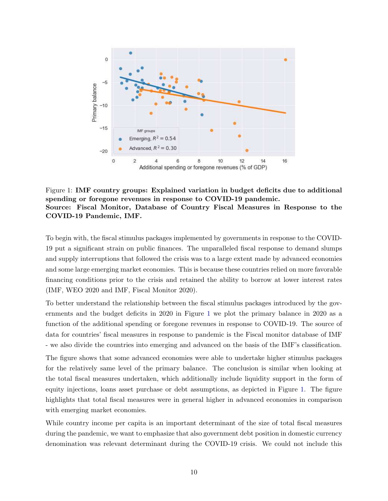

Figure 1: IMF country groups: Explained variation in budget deficits due to additional spending or foregone revenues in response to COVID-19 pandemic. Source: Fiscal Monitor, Database of Country Fiscal Measures in Response to the COVID-19 Pandemic, IMF.

To begin with, the fiscal stimulus packages implemented by governments in response to the COVID-19 put a significant strain on public finances. The unparalleled fiscal response to demand slumps and supply interruptions that followed the crisis was to a large extent made by advanced economies and some large emerging market economies. This is because these countries relied on more favorable financing conditions prior to the crisis and retained the ability to borrow at lower interest rates (IMF, WEO 2020 and IMF, Fiscal Monitor 2020).

To better understand the relationship between the fiscal stimulus packages introduced by the governments and the budget deficits in 2020 in Figure 1 we plot the primary balance in 2020 as a function of the additional spending or foregone revenues in response to COVID-19. The source of data for countries' fiscal measures in response to pandemic is the Fiscal monitor database of IMF - we also divide the countries into emerging and advanced on the basis of the IMF's classification.

The figure shows that some advanced economies were able to undertake higher stimulus packages for the relatively same level of the primary balance. The conclusion is similar when looking at the total fiscal measures undertaken, which additionally include liquidity support in the form of equity injections, loans asset purchase or debt assumptions, as depicted in Figure 1. The figure highlights that total fiscal measures were in general higher in advanced economies in comparison with emerging market economies.

While country income per capita is an important determinant of the size of total fiscal measures during the pandemic, we want to emphasize that also government debt position in domestic currency denomination was relevant determinant during the COVID-19 crisis. We could not include this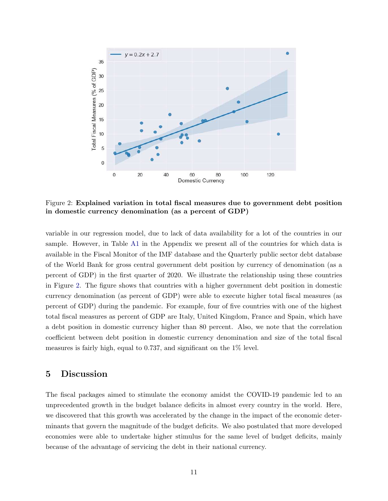

Figure 2: Explained variation in total fiscal measures due to government debt position in domestic currency denomination (as a percent of GDP)

variable in our regression model, due to lack of data availability for a lot of the countries in our sample. However, in Table A1 in the Appendix we present all of the countries for which data is available in the Fiscal Monitor of the IMF database and the Quarterly public sector debt database of the World Bank for gross central government debt position by currency of denomination (as a percent of GDP) in the first quarter of 2020. We illustrate the relationship using these countries in Figure 2. The figure shows that countries with a higher government debt position in domestic currency denomination (as percent of GDP) were able to execute higher total fiscal measures (as percent of GDP) during the pandemic. For example, four of five countries with one of the highest total fiscal measures as percent of GDP are Italy, United Kingdom, France and Spain, which have a debt position in domestic currency higher than 80 percent. Also, we note that the correlation coefficient between debt position in domestic currency denomination and size of the total fiscal measures is fairly high, equal to 0.737, and significant on the  $1\%$  level.

### 5 Discussion

The fiscal packages aimed to stimulate the economy amidst the COVID-19 pandemic led to an unprecedented growth in the budget balance deficits in almost every country in the world. Here, we discovered that this growth was accelerated by the change in the impact of the economic determinants that govern the magnitude of the budget deficits. We also postulated that more developed economies were able to undertake higher stimulus for the same level of budget deficits, mainly because of the advantage of servicing the debt in their national currency.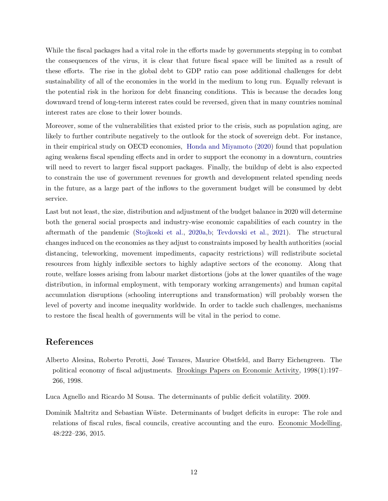While the fiscal packages had a vital role in the efforts made by governments stepping in to combat the consequences of the virus, it is clear that future fiscal space will be limited as a result of these efforts. The rise in the global debt to GDP ratio can pose additional challenges for debt sustainability of all of the economies in the world in the medium to long run. Equally relevant is the potential risk in the horizon for debt financing conditions. This is because the decades long downward trend of long-term interest rates could be reversed, given that in many countries nominal interest rates are close to their lower bounds.

Moreover, some of the vulnerabilities that existed prior to the crisis, such as population aging, are likely to further contribute negatively to the outlook for the stock of sovereign debt. For instance, in their empirical study on OECD economies, Honda and Miyamoto (2020) found that population aging weakens fiscal spending effects and in order to support the economy in a downturn, countries will need to revert to larger fiscal support packages. Finally, the buildup of debt is also expected to constrain the use of government revenues for growth and development related spending needs in the future, as a large part of the inflows to the government budget will be consumed by debt service.

Last but not least, the size, distribution and adjustment of the budget balance in 2020 will determine both the general social prospects and industry-wise economic capabilities of each country in the aftermath of the pandemic (Stojkoski et al., 2020a,b; Tevdovski et al., 2021). The structural changes induced on the economies as they adjust to constraints imposed by health authorities (social distancing, teleworking, movement impediments, capacity restrictions) will redistribute societal resources from highly inflexible sectors to highly adaptive sectors of the economy. Along that route, welfare losses arising from labour market distortions (jobs at the lower quantiles of the wage distribution, in informal employment, with temporary working arrangements) and human capital accumulation disruptions (schooling interruptions and transformation) will probably worsen the level of poverty and income inequality worldwide. In order to tackle such challenges, mechanisms to restore the fiscal health of governments will be vital in the period to come.

## References

Alberto Alesina, Roberto Perotti, José Tavares, Maurice Obstfeld, and Barry Eichengreen. The political economy of fiscal adjustments. Brookings Papers on Economic Activity, 1998(1):197– 266, 1998.

Luca Agnello and Ricardo M Sousa. The determinants of public deficit volatility. 2009.

Dominik Maltritz and Sebastian Wüste. Determinants of budget deficits in europe: The role and relations of fiscal rules, fiscal councils, creative accounting and the euro. Economic Modelling, 48:222–236, 2015.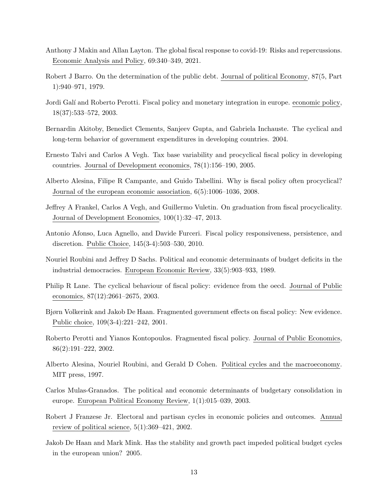- Anthony J Makin and Allan Layton. The global fiscal response to covid-19: Risks and repercussions. Economic Analysis and Policy, 69:340–349, 2021.
- Robert J Barro. On the determination of the public debt. Journal of political Economy, 87(5, Part 1):940–971, 1979.
- Jordi Galí and Roberto Perotti. Fiscal policy and monetary integration in europe. economic policy, 18(37):533–572, 2003.
- Bernardin Akitoby, Benedict Clements, Sanjeev Gupta, and Gabriela Inchauste. The cyclical and long-term behavior of government expenditures in developing countries. 2004.
- Ernesto Talvi and Carlos A Vegh. Tax base variability and procyclical fiscal policy in developing countries. Journal of Development economics, 78(1):156–190, 2005.
- Alberto Alesina, Filipe R Campante, and Guido Tabellini. Why is fiscal policy often procyclical? Journal of the european economic association, 6(5):1006–1036, 2008.
- Jeffrey A Frankel, Carlos A Vegh, and Guillermo Vuletin. On graduation from fiscal procyclicality. Journal of Development Economics, 100(1):32–47, 2013.
- Antonio Afonso, Luca Agnello, and Davide Furceri. Fiscal policy responsiveness, persistence, and discretion. Public Choice, 145(3-4):503–530, 2010.
- Nouriel Roubini and Jeffrey D Sachs. Political and economic determinants of budget deficits in the industrial democracies. European Economic Review, 33(5):903–933, 1989.
- Philip R Lane. The cyclical behaviour of fiscal policy: evidence from the oecd. Journal of Public economics, 87(12):2661–2675, 2003.
- Bjørn Volkerink and Jakob De Haan. Fragmented government effects on fiscal policy: New evidence. Public choice, 109(3-4):221–242, 2001.
- Roberto Perotti and Yianos Kontopoulos. Fragmented fiscal policy. Journal of Public Economics, 86(2):191–222, 2002.
- Alberto Alesina, Nouriel Roubini, and Gerald D Cohen. Political cycles and the macroeconomy. MIT press, 1997.
- Carlos Mulas-Granados. The political and economic determinants of budgetary consolidation in europe. European Political Economy Review, 1(1):015–039, 2003.
- Robert J Franzese Jr. Electoral and partisan cycles in economic policies and outcomes. Annual review of political science,  $5(1):369-421$ , 2002.
- Jakob De Haan and Mark Mink. Has the stability and growth pact impeded political budget cycles in the european union? 2005.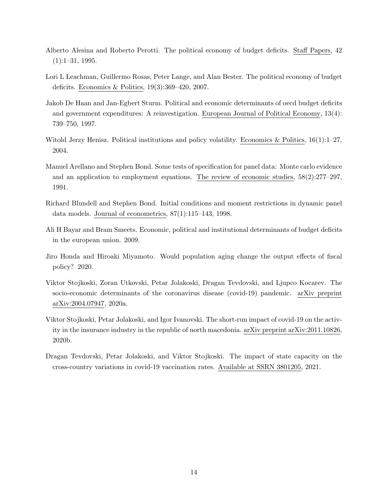- Alberto Alesina and Roberto Perotti. The political economy of budget deficits. Staff Papers, 42  $(1):1-31, 1995.$
- Lori L Leachman, Guillermo Rosas, Peter Lange, and Alan Bester. The political economy of budget deficits. Economics & Politics, 19(3):369–420, 2007.
- Jakob De Haan and Jan-Egbert Sturm. Political and economic determinants of oecd budget deficits and government expenditures: A reinvestigation. European Journal of Political Economy, 13(4): 739–750, 1997.
- Witold Jerzy Henisz. Political institutions and policy volatility. Economics & Politics,  $16(1):1-27$ , 2004.
- Manuel Arellano and Stephen Bond. Some tests of specification for panel data: Monte carlo evidence and an application to employment equations. The review of economic studies, 58(2):277–297, 1991.
- Richard Blundell and Stephen Bond. Initial conditions and moment restrictions in dynamic panel data models. Journal of econometrics, 87(1):115–143, 1998.
- Ali H Bayar and Bram Smeets. Economic, political and institutional determinants of budget deficits in the european union. 2009.
- Jiro Honda and Hiroaki Miyamoto. Would population aging change the output effects of fiscal policy? 2020.
- Viktor Stojkoski, Zoran Utkovski, Petar Jolakoski, Dragan Tevdovski, and Ljupco Kocarev. The socio-economic determinants of the coronavirus disease (covid-19) pandemic. arXiv preprint arXiv:2004.07947, 2020a.
- Viktor Stojkoski, Petar Jolakoski, and Igor Ivanovski. The short-run impact of covid-19 on the activity in the insurance industry in the republic of north macedonia. arXiv preprint arXiv:2011.10826, 2020b.
- Dragan Tevdovski, Petar Jolakoski, and Viktor Stojkoski. The impact of state capacity on the cross-country variations in covid-19 vaccination rates. Available at SSRN 3801205, 2021.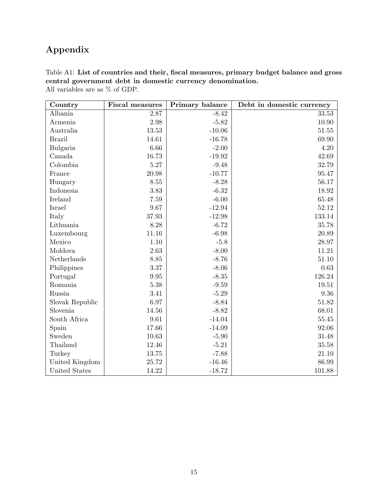## Appendix

| Table A1: List of countries and their, fiscal measures, primary budget balance and gross |
|------------------------------------------------------------------------------------------|
| central government debt in domestic currency denomination.                               |
| All variables are as $\%$ of GDP.                                                        |

| Country         | <b>Fiscal measures</b> | Primary balance | Debt in domestic currency |
|-----------------|------------------------|-----------------|---------------------------|
| Albania         | 2.87                   | $-8.42$         | 33.53                     |
| Armenia         | 2.98                   | $-5.82$         | 10.90                     |
| Australia       | 13.53                  | $-10.06$        | 51.55                     |
| <b>Brazil</b>   | 14.61                  | $-16.78$        | 69.90                     |
| Bulgaria        | 6.66                   | $-2.00$         | 4.20                      |
| Canada          | 16.73                  | $-19.92$        | 42.69                     |
| Colombia        | 5.27                   | $-9.48$         | 32.79                     |
| France          | 20.98                  | $-10.77$        | 95.47                     |
| Hungary         | 8.55                   | $-8.28$         | $56.17\,$                 |
| Indonesia       | 3.83                   | $-6.32$         | 18.92                     |
| Ireland         | 7.59                   | $-6.00$         | 65.48                     |
| Israel          | 9.67                   | $-12.94$        | 52.12                     |
| Italy           | 37.93                  | $-12.98$        | 133.14                    |
| Lithuania       | 8.28                   | $-6.72$         | 35.78                     |
| Luxembourg      | 11.16                  | $-6.98$         | 20.89                     |
| Mexico          | 1.10                   | $-5.8$          | 28.97                     |
| Moldova         | 2.63                   | $-8.00$         | 11.21                     |
| Netherlands     | 8.85                   | $-8.76$         | 51.10                     |
| Philippines     | 3.37                   | $-8.06$         | $\rm 0.63$                |
| Portugal        | 9.95                   | $-8.35$         | 126.24                    |
| Romania         | 5.38                   | $-9.59$         | 19.51                     |
| Russia          | 3.41                   | $-5.29$         | 9.36                      |
| Slovak Republic | 6.97                   | $-8.84$         | 51.82                     |
| Slovenia        | 14.56                  | $-8.82$         | 68.01                     |
| South Africa    | 9.61                   | $-14.04$        | 55.45                     |
| Spain           | 17.66                  | $-14.09$        | 92.06                     |
| Sweden          | 10.63                  | $-5.90$         | 31.48                     |
| Thailand        | 12.46                  | $-5.21$         | 35.58                     |
| Turkey          | 13.75                  | $-7.88$         | 21.10                     |
| United Kingdom  | 25.72                  | $-16.46$        | 86.99                     |
| United States   | 14.22                  | $-18.72$        | 101.88                    |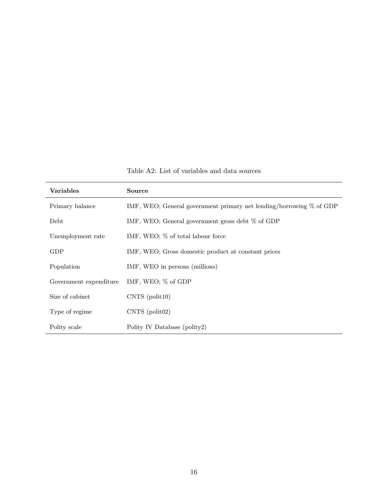Table A2: List of variables and data sources

| <b>Variables</b>       | <b>Source</b>                                                         |
|------------------------|-----------------------------------------------------------------------|
| Primary balance        | IMF, WEO; General government primary net lending/borrowing $%$ of GDP |
| Debt                   | IMF, WEO; General government gross debt $\%$ of GDP                   |
| Unemployment rate      | IMF, WEO; % of total labour force                                     |
| GDP                    | IMF, WEO; Gross domestic product at constant prices                   |
| Population             | IMF, WEO in persons (millions)                                        |
| Government expenditure | IMF, WEO; % of GDP                                                    |
| Size of cabinet        | $CNTS$ (polit10)                                                      |
| Type of regime         | $CNTS$ (polit $02$ )                                                  |
| Polity scale           | Polity IV Database (polity2)                                          |